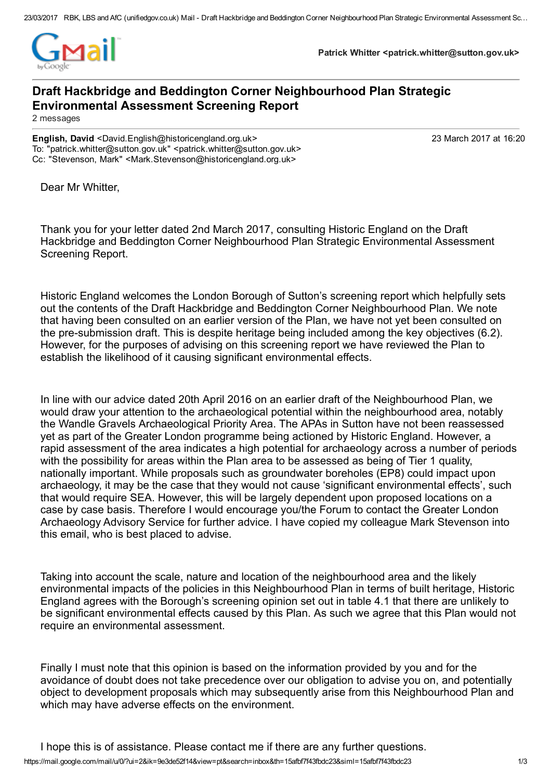

**Patrick Whitter <patrick.whitter@sutton.gov.uk>**

## **Draft Hackbridge and Beddington Corner Neighbourhood Plan Strategic Environmental Assessment Screening Report**

2 messages

**English, David** <David.English@historicengland.org.uk> 23 March 2017 at 16:20 To: "patrick.whitter@sutton.gov.uk" <patrick.whitter@sutton.gov.uk> Cc: "Stevenson, Mark" <Mark.Stevenson@historicengland.org.uk>

Dear Mr Whitter,

Thank you for your letter dated 2nd March 2017, consulting Historic England on the Draft Hackbridge and Beddington Corner Neighbourhood Plan Strategic Environmental Assessment Screening Report.

Historic England welcomes the London Borough of Sutton's screening report which helpfully sets out the contents of the Draft Hackbridge and Beddington Corner Neighbourhood Plan. We note that having been consulted on an earlier version of the Plan, we have not yet been consulted on the pre-submission draft. This is despite heritage being included among the key objectives (6.2). However, for the purposes of advising on this screening report we have reviewed the Plan to establish the likelihood of it causing significant environmental effects.

In line with our advice dated 20th April 2016 on an earlier draft of the Neighbourhood Plan, we would draw your attention to the archaeological potential within the neighbourhood area, notably the Wandle Gravels Archaeological Priority Area. The APAs in Sutton have not been reassessed yet as part of the Greater London programme being actioned by Historic England. However, a rapid assessment of the area indicates a high potential for archaeology across a number of periods with the possibility for areas within the Plan area to be assessed as being of Tier 1 quality, nationally important. While proposals such as groundwater boreholes (EP8) could impact upon archaeology, it may be the case that they would not cause 'significant environmental effects', such that would require SEA. However, this will be largely dependent upon proposed locations on a case by case basis. Therefore I would encourage you/the Forum to contact the Greater London Archaeology Advisory Service for further advice. I have copied my colleague Mark Stevenson into this email, who is best placed to advise.

Taking into account the scale, nature and location of the neighbourhood area and the likely environmental impacts of the policies in this Neighbourhood Plan in terms of built heritage, Historic England agrees with the Borough's screening opinion set out in table 4.1 that there are unlikely to be significant environmental effects caused by this Plan. As such we agree that this Plan would not require an environmental assessment.

Finally I must note that this opinion is based on the information provided by you and for the avoidance of doubt does not take precedence over our obligation to advise you on, and potentially object to development proposals which may subsequently arise from this Neighbourhood Plan and which may have adverse effects on the environment.